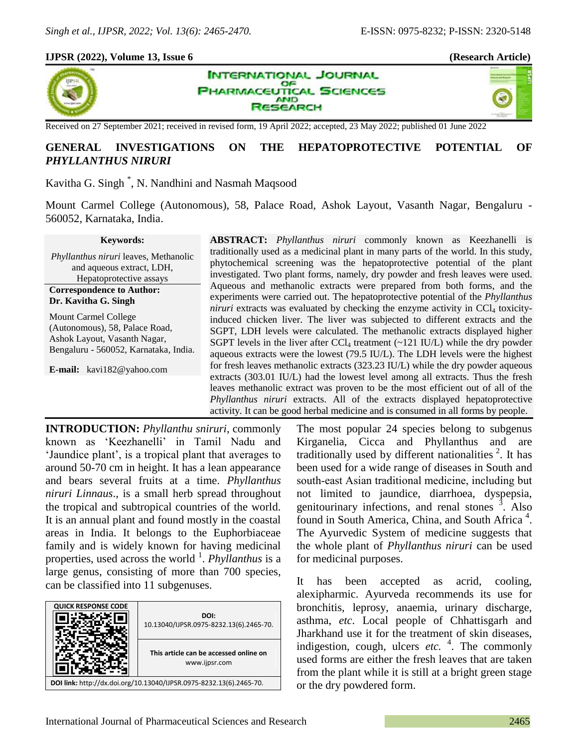### **IJPSR (2022), Volume 13, Issue 6 (Research Article)**



**INTERNATIONAL JOURNAL** OF **PHARMACEUTICAL SCIENCES AND ESEARCH** 



Received on 27 September 2021; received in revised form, 19 April 2022; accepted, 23 May 2022; published 01 June 2022

# **GENERAL INVESTIGATIONS ON THE HEPATOPROTECTIVE POTENTIAL OF** *PHYLLANTHUS NIRURI*

Kavitha G. Singh \* , N. Nandhini and Nasmah Maqsood

Mount Carmel College (Autonomous), 58, Palace Road, Ashok Layout, Vasanth Nagar, Bengaluru - 560052, Karnataka, India.

#### **Keywords:**

*Phyllanthus niruri* leaves, Methanolic and aqueous extract, LDH, Hepatoprotective assays **Correspondence to Author: Dr. Kavitha G. Singh**

Mount Carmel College (Autonomous), 58, Palace Road, Ashok Layout, Vasanth Nagar, Bengaluru - 560052, Karnataka, India.

**E-mail:** kavi182@yahoo.com

**ABSTRACT:** *Phyllanthus niruri* commonly known as Keezhanelli is traditionally used as a medicinal plant in many parts of the world. In this study, phytochemical screening was the hepatoprotective potential of the plant investigated. Two plant forms, namely, dry powder and fresh leaves were used. Aqueous and methanolic extracts were prepared from both forms, and the experiments were carried out. The hepatoprotective potential of the *Phyllanthus niruri* extracts was evaluated by checking the enzyme activity in  $CCl<sub>4</sub>$  toxicityinduced chicken liver. The liver was subjected to different extracts and the SGPT, LDH levels were calculated. The methanolic extracts displayed higher SGPT levels in the liver after  $CCl_4$  treatment (~121 IU/L) while the dry powder aqueous extracts were the lowest (79.5 IU/L). The LDH levels were the highest for fresh leaves methanolic extracts (323.23 IU/L) while the dry powder aqueous extracts (303.01 IU/L) had the lowest level among all extracts. Thus the fresh leaves methanolic extract was proven to be the most efficient out of all of the *Phyllanthus niruri* extracts. All of the extracts displayed hepatoprotective activity. It can be good herbal medicine and is consumed in all forms by people.

**INTRODUCTION:** *Phyllanthu sniruri*, commonly known as 'Keezhanelli' in Tamil Nadu and 'Jaundice plant', is a tropical plant that averages to around 50-70 cm in height. It has a lean appearance and bears several fruits at a time. *Phyllanthus niruri Linnaus*., is a small herb spread throughout the tropical and subtropical countries of the world. It is an annual plant and found mostly in the coastal areas in India. It belongs to the Euphorbiaceae family and is widely known for having medicinal properties, used across the world <sup>1</sup>. *Phyllanthus* is a large genus, consisting of more than 700 species, can be classified into 11 subgenuses.



The most popular 24 species belong to subgenus Kirganelia, Cicca and Phyllanthus and are traditionally used by different nationalities  $2$ . It has been used for a wide range of diseases in South and south‐east Asian traditional medicine, including but not limited to jaundice, diarrhoea, dyspepsia, genitourinary infections, and renal stones  $\frac{3}{3}$ . Also found in South America, China, and South Africa<sup>4</sup>. The Ayurvedic System of medicine suggests that the whole plant of *Phyllanthus niruri* can be used for medicinal purposes.

It has been accepted as acrid, cooling, alexipharmic. Ayurveda recommends its use for bronchitis, leprosy, anaemia, urinary discharge, asthma, *etc*. Local people of Chhattisgarh and Jharkhand use it for the treatment of skin diseases, indigestion, cough, ulcers *etc.* 4 . The commonly used forms are either the fresh leaves that are taken from the plant while it is still at a bright green stage or the dry powdered form.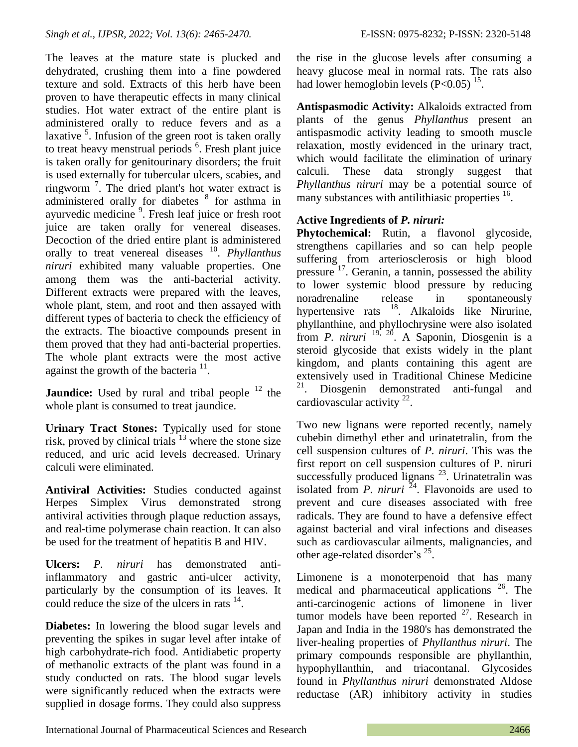The leaves at the mature state is plucked and dehydrated, crushing them into a fine powdered texture and sold. Extracts of this herb have been proven to have therapeutic effects in many clinical studies. Hot water extract of the entire plant is administered orally to reduce fevers and as a laxative <sup>5</sup>. Infusion of the green root is taken orally to treat heavy menstrual periods <sup>6</sup>. Fresh plant juice is taken orally for genitourinary disorders; the fruit is used externally for tubercular ulcers, scabies, and ringworm<sup>7</sup>. The dried plant's hot water extract is administered orally for diabetes <sup>8</sup> for asthma in ayurvedic medicine<sup>9</sup>. Fresh leaf juice or fresh root juice are taken orally for venereal diseases. Decoction of the dried entire plant is administered orally to treat venereal diseases <sup>10</sup>. *Phyllanthus niruri* exhibited many valuable properties. One among them was the anti-bacterial activity. Different extracts were prepared with the leaves, whole plant, stem, and root and then assayed with different types of bacteria to check the efficiency of the extracts. The bioactive compounds present in them proved that they had anti-bacterial properties. The whole plant extracts were the most active against the growth of the bacteria  $11$ .

**Jaundice:** Used by rural and tribal people <sup>12</sup> the whole plant is consumed to treat jaundice.

**Urinary Tract Stones:** Typically used for stone risk, proved by clinical trials <sup>13</sup> where the stone size reduced, and uric acid levels decreased. Urinary calculi were eliminated.

**Antiviral Activities:** Studies conducted against Herpes Simplex Virus demonstrated strong antiviral activities through plaque reduction assays, and real-time polymerase chain reaction. It can also be used for the treatment of hepatitis B and HIV.

**Ulcers:** *P. niruri* has demonstrated antiinflammatory and gastric anti-ulcer activity, particularly by the consumption of its leaves. It could reduce the size of the ulcers in rats  $14$ .

**Diabetes:** In lowering the blood sugar levels and preventing the spikes in sugar level after intake of high carbohydrate-rich food. Antidiabetic property of methanolic extracts of the plant was found in a study conducted on rats. The blood sugar levels were significantly reduced when the extracts were supplied in dosage forms. They could also suppress

the rise in the glucose levels after consuming a heavy glucose meal in normal rats. The rats also had lower hemoglobin levels  $(P<0.05)$ <sup>15</sup>.

**Antispasmodic Activity:** Alkaloids extracted from plants of the genus *Phyllanthus* present an antispasmodic activity leading to smooth muscle relaxation, mostly evidenced in the urinary tract, which would facilitate the elimination of urinary calculi. These data strongly suggest that *Phyllanthus niruri* may be a potential source of many substances with antilithiasic properties <sup>16</sup>.

# **Active Ingredients of** *P. niruri:*

**Phytochemical:** Rutin, a flavonol glycoside, strengthens capillaries and so can help people suffering from arteriosclerosis or high blood pressure <sup>17</sup>. Geranin, a tannin, possessed the ability to lower systemic blood pressure by reducing noradrenaline release in spontaneously hypertensive rats <sup>18</sup>. Alkaloids like Nirurine, phyllanthine, and phyllochrysine were also isolated from *P. niruri* 19, <sup>20</sup> . A Saponin, Diosgenin is a steroid glycoside that exists widely in the plant kingdom, and plants containing this agent are extensively used in Traditional Chinese Medicine <sup>21</sup>. Diosgenin demonstrated anti-fungal and cardiovascular activity  $2^2$ .

Two new lignans were reported recently, namely cubebin dimethyl ether and urinatetralin, from the cell suspension cultures of *P. niruri*. This was the first report on cell suspension cultures of P. niruri successfully produced lignans  $^{23}$ . Urinatetralin was isolated from *P. niruri*  $^{24}$ . Flavonoids are used to prevent and cure diseases associated with free radicals. They are found to have a defensive effect against bacterial and viral infections and diseases such as cardiovascular ailments, malignancies, and other age-related disorder's <sup>25</sup>.

Limonene is a monoterpenoid that has many medical and pharmaceutical applications <sup>26</sup>. The anti-carcinogenic actions of limonene in liver tumor models have been reported  $27$ . Research in Japan and India in the 1980's has demonstrated the liver-healing properties of *Phyllanthus niruri*. The primary compounds responsible are phyllanthin, hypophyllanthin, and triacontanal. Glycosides found in *Phyllanthus niruri* demonstrated Aldose reductase (AR) inhibitory activity in studies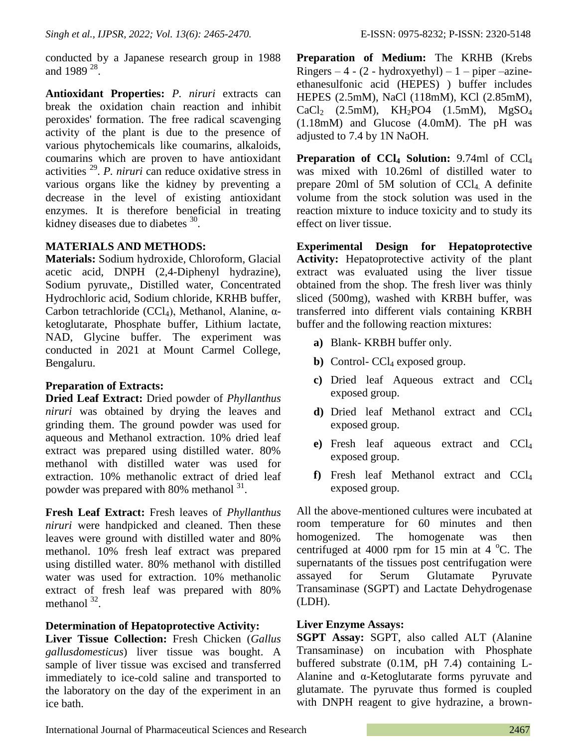conducted by a Japanese research group in 1988 and 1989  $^{28}$ .

**Antioxidant Properties:** *P. niruri* extracts can break the oxidation chain reaction and inhibit peroxides' formation. The free radical scavenging activity of the plant is due to the presence of various phytochemicals like coumarins, alkaloids, coumarins which are proven to have antioxidant activities <sup>29</sup> . *P. niruri* can reduce oxidative stress in various organs like the kidney by preventing a decrease in the level of existing antioxidant enzymes. It is therefore beneficial in treating kidney diseases due to diabetes  $30$ .

## **MATERIALS AND METHODS:**

**Materials:** Sodium hydroxide, Chloroform, Glacial acetic acid, DNPH (2,4-Diphenyl hydrazine), Sodium pyruvate,, Distilled water, Concentrated Hydrochloric acid, Sodium chloride, KRHB buffer, Carbon tetrachloride (CCl4), Methanol, Alanine, αketoglutarate, Phosphate buffer, Lithium lactate, NAD, Glycine buffer. The experiment was conducted in 2021 at Mount Carmel College, Bengaluru.

# **Preparation of Extracts:**

**Dried Leaf Extract:** Dried powder of *Phyllanthus niruri* was obtained by drying the leaves and grinding them. The ground powder was used for aqueous and Methanol extraction. 10% dried leaf extract was prepared using distilled water. 80% methanol with distilled water was used for extraction. 10% methanolic extract of dried leaf powder was prepared with 80% methanol <sup>31</sup>.

**Fresh Leaf Extract:** Fresh leaves of *Phyllanthus niruri* were handpicked and cleaned. Then these leaves were ground with distilled water and 80% methanol. 10% fresh leaf extract was prepared using distilled water. 80% methanol with distilled water was used for extraction. 10% methanolic extract of fresh leaf was prepared with 80% methanol  $32$ .

# **Determination of Hepatoprotective Activity:**

**Liver Tissue Collection:** Fresh Chicken (*Gallus gallusdomesticus*) liver tissue was bought. A sample of liver tissue was excised and transferred immediately to ice-cold saline and transported to the laboratory on the day of the experiment in an ice bath.

**Preparation of Medium:** The KRHB (Krebs Ringers  $-4 - (2 - hydroxyethyl) - 1 - pipe -azine$ ethanesulfonic acid (HEPES) ) buffer includes HEPES (2.5mM), NaCl (118mM), KCl (2.85mM),  $CaCl<sub>2</sub>$  (2.5mM), KH<sub>2</sub>PO4 (1.5mM), MgSO<sub>4</sub> (1.18mM) and Glucose (4.0mM). The pH was adjusted to 7.4 by 1N NaOH.

**Preparation of CCl<sup>4</sup> Solution:** 9.74ml of CCl<sup>4</sup> was mixed with 10.26ml of distilled water to prepare 20ml of 5M solution of  $CCl<sub>4</sub>$ . A definite volume from the stock solution was used in the reaction mixture to induce toxicity and to study its effect on liver tissue.

**Experimental Design for Hepatoprotective Activity:** Hepatoprotective activity of the plant extract was evaluated using the liver tissue obtained from the shop. The fresh liver was thinly sliced (500mg), washed with KRBH buffer, was transferred into different vials containing KRBH buffer and the following reaction mixtures:

- **a)** Blank- KRBH buffer only.
- **b**) Control-  $CCl_4$  exposed group.
- **c)** Dried leaf Aqueous extract and CCl<sup>4</sup> exposed group.
- **d)** Dried leaf Methanol extract and CCl<sup>4</sup> exposed group.
- **e)** Fresh leaf aqueous extract and CCl<sup>4</sup> exposed group.
- **f)** Fresh leaf Methanol extract and CCl<sup>4</sup> exposed group.

All the above-mentioned cultures were incubated at room temperature for 60 minutes and then homogenized. The homogenate was then centrifuged at 4000 rpm for 15 min at 4  $^{\circ}$ C. The supernatants of the tissues post centrifugation were assayed for Serum Glutamate Pyruvate Transaminase (SGPT) and Lactate Dehydrogenase (LDH).

## **Liver Enzyme Assays:**

**SGPT Assay:** SGPT, also called ALT (Alanine Transaminase) on incubation with Phosphate buffered substrate (0.1M, pH 7.4) containing L-Alanine and α-Ketoglutarate forms pyruvate and glutamate. The pyruvate thus formed is coupled with DNPH reagent to give hydrazine, a brown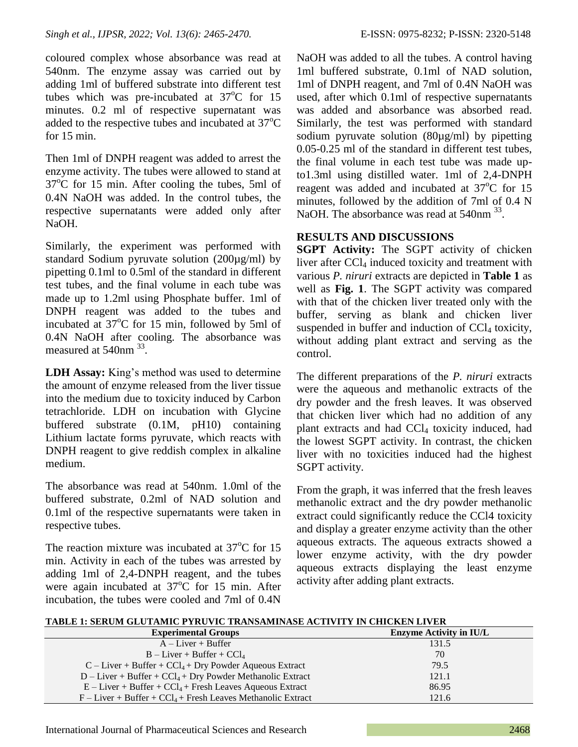coloured complex whose absorbance was read at 540nm. The enzyme assay was carried out by adding 1ml of buffered substrate into different test tubes which was pre-incubated at  $37^{\circ}$ C for 15 minutes. 0.2 ml of respective supernatant was added to the respective tubes and incubated at  $37^{\circ}$ C for 15 min.

Then 1ml of DNPH reagent was added to arrest the enzyme activity. The tubes were allowed to stand at  $37^{\circ}$ C for 15 min. After cooling the tubes, 5ml of 0.4N NaOH was added. In the control tubes, the respective supernatants were added only after NaOH.

Similarly, the experiment was performed with standard Sodium pyruvate solution (200µg/ml) by pipetting 0.1ml to 0.5ml of the standard in different test tubes, and the final volume in each tube was made up to 1.2ml using Phosphate buffer. 1ml of DNPH reagent was added to the tubes and incubated at  $37^{\circ}$ C for 15 min, followed by 5ml of 0.4N NaOH after cooling. The absorbance was measured at 540nm <sup>33</sup>.

**LDH Assay:** King's method was used to determine the amount of enzyme released from the liver tissue into the medium due to toxicity induced by Carbon tetrachloride. LDH on incubation with Glycine buffered substrate (0.1M, pH10) containing Lithium lactate forms pyruvate, which reacts with DNPH reagent to give reddish complex in alkaline medium.

The absorbance was read at 540nm. 1.0ml of the buffered substrate, 0.2ml of NAD solution and 0.1ml of the respective supernatants were taken in respective tubes.

The reaction mixture was incubated at  $37^{\circ}$ C for 15 min. Activity in each of the tubes was arrested by adding 1ml of 2,4-DNPH reagent, and the tubes were again incubated at  $37^{\circ}$ C for 15 min. After incubation, the tubes were cooled and 7ml of 0.4N

NaOH was added to all the tubes. A control having 1ml buffered substrate, 0.1ml of NAD solution, 1ml of DNPH reagent, and 7ml of 0.4N NaOH was used, after which 0.1ml of respective supernatants was added and absorbance was absorbed read. Similarly, the test was performed with standard sodium pyruvate solution (80µg/ml) by pipetting 0.05-0.25 ml of the standard in different test tubes, the final volume in each test tube was made upto1.3ml using distilled water. 1ml of 2,4-DNPH reagent was added and incubated at  $37^{\circ}$ C for 15 minutes, followed by the addition of 7ml of 0.4 N NaOH. The absorbance was read at 540nm <sup>33</sup>.

## **RESULTS AND DISCUSSIONS**

**SGPT Activity:** The SGPT activity of chicken liver after  $\text{CCl}_4$  induced toxicity and treatment with various *P. niruri* extracts are depicted in **Table 1** as well as **Fig. 1**. The SGPT activity was compared with that of the chicken liver treated only with the buffer, serving as blank and chicken liver suspended in buffer and induction of  $CCl<sub>4</sub>$  toxicity, without adding plant extract and serving as the control.

The different preparations of the *P. niruri* extracts were the aqueous and methanolic extracts of the dry powder and the fresh leaves. It was observed that chicken liver which had no addition of any plant extracts and had  $CCl<sub>4</sub>$  toxicity induced, had the lowest SGPT activity. In contrast, the chicken liver with no toxicities induced had the highest SGPT activity.

From the graph, it was inferred that the fresh leaves methanolic extract and the dry powder methanolic extract could significantly reduce the CCl4 toxicity and display a greater enzyme activity than the other aqueous extracts. The aqueous extracts showed a lower enzyme activity, with the dry powder aqueous extracts displaying the least enzyme activity after adding plant extracts.

**TABLE 1: SERUM GLUTAMIC PYRUVIC TRANSAMINASE ACTIVITY IN CHICKEN LIVER**

| <b>Experimental Groups</b>                                                | <b>Enzyme Activity in IU/L</b> |
|---------------------------------------------------------------------------|--------------------------------|
| $A-Liver + Buffer$                                                        | 131.5                          |
| $B - Liver + Buffer + CCl4$                                               | 70                             |
| $C$ – Liver + Buffer + $CCl_4$ + Dry Powder Aqueous Extract               | 79.5                           |
| $D$ – Liver + Buffer + CCl <sub>4</sub> + Dry Powder Methanolic Extract   | 121.1                          |
| $E$ – Liver + Buffer + CCl <sub>4</sub> + Fresh Leaves Aqueous Extract    | 86.95                          |
| $F$ – Liver + Buffer + CCl <sub>4</sub> + Fresh Leaves Methanolic Extract | 121.6                          |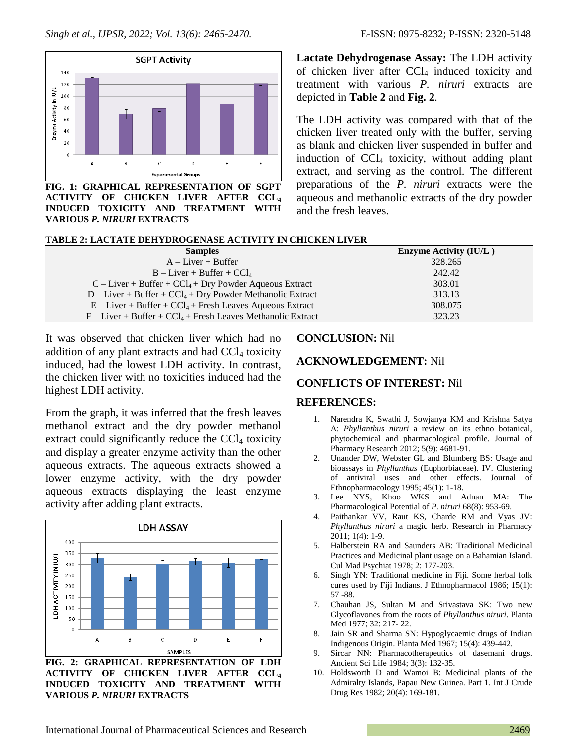

**FIG. 1: GRAPHICAL REPRESENTATION OF SGPT ACTIVITY OF CHICKEN LIVER AFTER CCL<sup>4</sup> INDUCED TOXICITY AND TREATMENT WITH VARIOUS** *P. NIRURI* **EXTRACTS**

**Lactate Dehydrogenase Assay:** The LDH activity of chicken liver after  $CCl<sub>4</sub>$  induced toxicity and treatment with various *P. niruri* extracts are depicted in **Table 2** and **Fig. 2**.

The LDH activity was compared with that of the chicken liver treated only with the buffer, serving as blank and chicken liver suspended in buffer and induction of  $CCI<sub>4</sub>$  toxicity, without adding plant extract, and serving as the control. The different preparations of the *P. niruri* extracts were the aqueous and methanolic extracts of the dry powder and the fresh leaves.

| TABLE 2: LACTATE DEHYDROGENASE ACTIVITY IN CHICKEN LIVER |
|----------------------------------------------------------|
|----------------------------------------------------------|

| <b>Samples</b>                                                            | <b>Enzyme Activity (IU/L)</b> |
|---------------------------------------------------------------------------|-------------------------------|
| $A-Liver + Buffer$                                                        | 328.265                       |
| $B - Liver + Buffer + CCl4$                                               | 242.42                        |
| $C$ – Liver + Buffer + $CCl_4$ + Dry Powder Aqueous Extract               | 303.01                        |
| $D$ – Liver + Buffer + CCl <sub>4</sub> + Dry Powder Methanolic Extract   | 313.13                        |
| $E$ – Liver + Buffer + CCl <sub>4</sub> + Fresh Leaves Aqueous Extract    | 308.075                       |
| $F$ – Liver + Buffer + CCl <sub>4</sub> + Fresh Leaves Methanolic Extract | 323.23                        |

It was observed that chicken liver which had no addition of any plant extracts and had  $CCl<sub>4</sub>$  toxicity induced, had the lowest LDH activity. In contrast, the chicken liver with no toxicities induced had the highest LDH activity.

From the graph, it was inferred that the fresh leaves methanol extract and the dry powder methanol extract could significantly reduce the  $CCl<sub>4</sub>$  toxicity and display a greater enzyme activity than the other aqueous extracts. The aqueous extracts showed a lower enzyme activity, with the dry powder aqueous extracts displaying the least enzyme activity after adding plant extracts.



**ACTIVITY OF CHICKEN LIVER AFTER CCL<sup>4</sup> INDUCED TOXICITY AND TREATMENT WITH VARIOUS** *P. NIRURI* **EXTRACTS**

#### **CONCLUSION:** Nil

#### **ACKNOWLEDGEMENT:** Nil

#### **CONFLICTS OF INTEREST:** Nil

#### **REFERENCES:**

- 1. Narendra K, Swathi J, Sowjanya KM and Krishna Satya A: *Phyllanthus niruri* a review on its ethno botanical, phytochemical and pharmacological profile. Journal of Pharmacy Research 2012; 5(9): 4681-91.
- 2. Unander DW, Webster GL and Blumberg BS: Usage and bioassays in *Phyllanthus* (Euphorbiaceae). IV. Clustering of antiviral uses and other effects. Journal of Ethnopharmacology 1995; 45(1): 1-18.
- 3. Lee NYS, Khoo WKS and Adnan MA: The Pharmacological Potential of *P. niruri* 68(8): 953-69.
- 4. Paithankar VV, Raut KS, Charde RM and Vyas JV: *Phyllanthus niruri* a magic herb. Research in Pharmacy 2011; 1(4): 1-9.
- 5. Halberstein RA and Saunders AB: Traditional Medicinal Practices and Medicinal plant usage on a Bahamian Island. Cul Mad Psychiat 1978; 2: 177-203.
- 6. Singh YN: Traditional medicine in Fiji. Some herbal folk cures used by Fiji Indians. J Ethnopharmacol 1986; 15(1): 57 -88.
- 7. Chauhan JS, Sultan M and Srivastava SK: Two new Glycoflavones from the roots of *Phyllanthus niruri*. Planta Med 1977; 32: 217- 22.
- 8. Jain SR and Sharma SN: Hypoglycaemic drugs of Indian Indigenous Origin. Planta Med 1967; 15(4): 439-442.
- 9. Sircar NN: Pharmacotherapeutics of dasemani drugs. Ancient Sci Life 1984; 3(3): 132-35.
- 10. Holdsworth D and Wamoi B: Medicinal plants of the Admiralty Islands, Papau New Guinea. Part 1. Int J Crude Drug Res 1982; 20(4): 169-181.